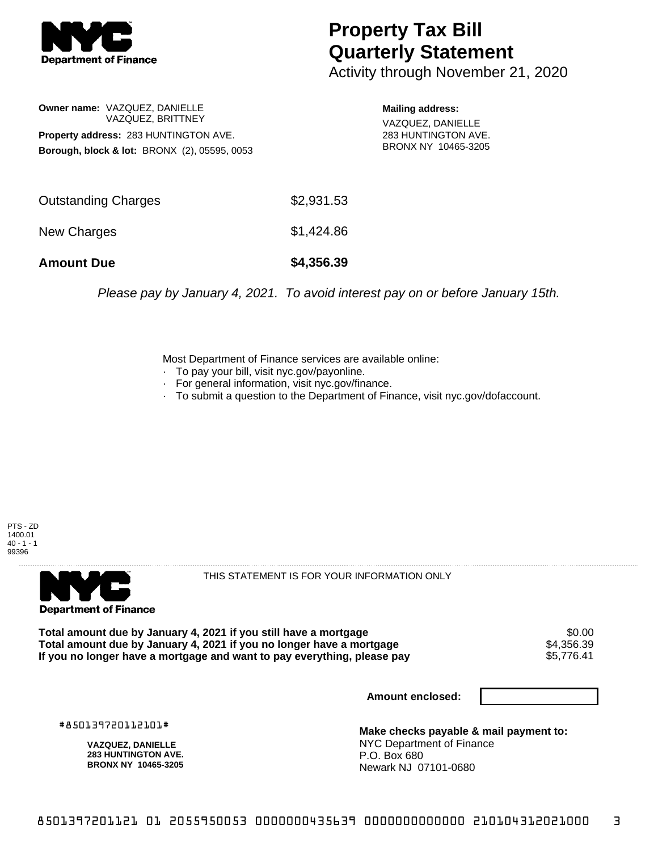

## **Property Tax Bill Quarterly Statement**

Activity through November 21, 2020

## **Owner name:** VAZQUEZ, DANIELLE VAZQUEZ, BRITTNEY **Property address:** 283 HUNTINGTON AVE. **Borough, block & lot:** BRONX (2), 05595, 0053

**Mailing address:**

VAZQUEZ, DANIELLE 283 HUNTINGTON AVE. BRONX NY 10465-3205

| <b>Amount Due</b>          | \$4,356.39 |
|----------------------------|------------|
| New Charges                | \$1,424.86 |
| <b>Outstanding Charges</b> | \$2,931.53 |

Please pay by January 4, 2021. To avoid interest pay on or before January 15th.

Most Department of Finance services are available online:

- · To pay your bill, visit nyc.gov/payonline.
- For general information, visit nyc.gov/finance.
- · To submit a question to the Department of Finance, visit nyc.gov/dofaccount.





THIS STATEMENT IS FOR YOUR INFORMATION ONLY

Total amount due by January 4, 2021 if you still have a mortgage  $$0.00$ <br>Total amount due by January 4, 2021 if you no longer have a mortgage  $$4,356.39$ **Total amount due by January 4, 2021 if you no longer have a mortgage**  $$4,356.39$ **<br>If you no longer have a mortgage and want to pay everything, please pay** If you no longer have a mortgage and want to pay everything, please pay

**Amount enclosed:**

#850139720112101#

**VAZQUEZ, DANIELLE 283 HUNTINGTON AVE. BRONX NY 10465-3205**

**Make checks payable & mail payment to:** NYC Department of Finance P.O. Box 680 Newark NJ 07101-0680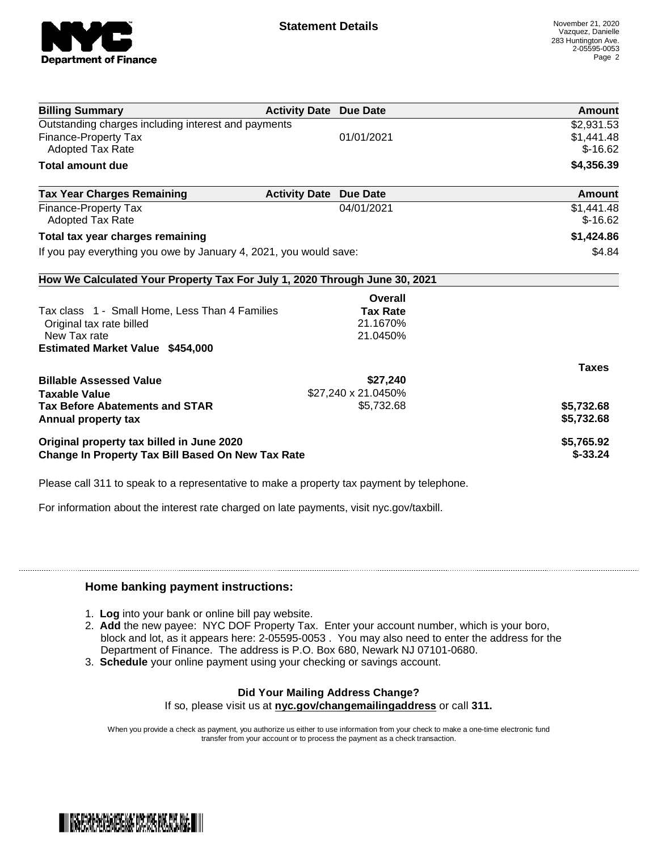

| <b>Billing Summary</b>                                                     | <b>Activity Date Due Date</b> |                     | Amount       |
|----------------------------------------------------------------------------|-------------------------------|---------------------|--------------|
| Outstanding charges including interest and payments                        |                               |                     | \$2,931.53   |
| <b>Finance-Property Tax</b>                                                |                               | 01/01/2021          | \$1,441.48   |
| <b>Adopted Tax Rate</b>                                                    |                               |                     | $$-16.62$    |
| <b>Total amount due</b>                                                    |                               |                     | \$4,356.39   |
| <b>Tax Year Charges Remaining</b>                                          | <b>Activity Date</b>          | <b>Due Date</b>     | Amount       |
| <b>Finance-Property Tax</b>                                                |                               | 04/01/2021          | \$1,441.48   |
| <b>Adopted Tax Rate</b>                                                    |                               |                     | $$-16.62$    |
| Total tax year charges remaining                                           |                               |                     | \$1,424.86   |
| If you pay everything you owe by January 4, 2021, you would save:          |                               |                     | \$4.84       |
| How We Calculated Your Property Tax For July 1, 2020 Through June 30, 2021 |                               |                     |              |
|                                                                            |                               | Overall             |              |
| Tax class 1 - Small Home, Less Than 4 Families                             |                               | <b>Tax Rate</b>     |              |
| Original tax rate billed                                                   |                               | 21.1670%            |              |
| New Tax rate                                                               |                               | 21.0450%            |              |
| <b>Estimated Market Value \$454,000</b>                                    |                               |                     |              |
|                                                                            |                               |                     | <b>Taxes</b> |
| <b>Billable Assessed Value</b>                                             |                               | \$27,240            |              |
| Taxable Value                                                              |                               | \$27,240 x 21.0450% |              |
| <b>Tax Before Abatements and STAR</b>                                      |                               | \$5,732.68          | \$5,732.68   |
| Annual property tax                                                        |                               |                     | \$5,732.68   |
| Original property tax billed in June 2020                                  |                               |                     | \$5,765.92   |
| <b>Change In Property Tax Bill Based On New Tax Rate</b>                   |                               |                     | $$-33.24$    |

Please call 311 to speak to a representative to make a property tax payment by telephone.

For information about the interest rate charged on late payments, visit nyc.gov/taxbill.

## **Home banking payment instructions:**

- 1. **Log** into your bank or online bill pay website.
- 2. **Add** the new payee: NYC DOF Property Tax. Enter your account number, which is your boro, block and lot, as it appears here: 2-05595-0053 . You may also need to enter the address for the Department of Finance. The address is P.O. Box 680, Newark NJ 07101-0680.
- 3. **Schedule** your online payment using your checking or savings account.

## **Did Your Mailing Address Change?**

If so, please visit us at **nyc.gov/changemailingaddress** or call **311.**

When you provide a check as payment, you authorize us either to use information from your check to make a one-time electronic fund transfer from your account or to process the payment as a check transaction.